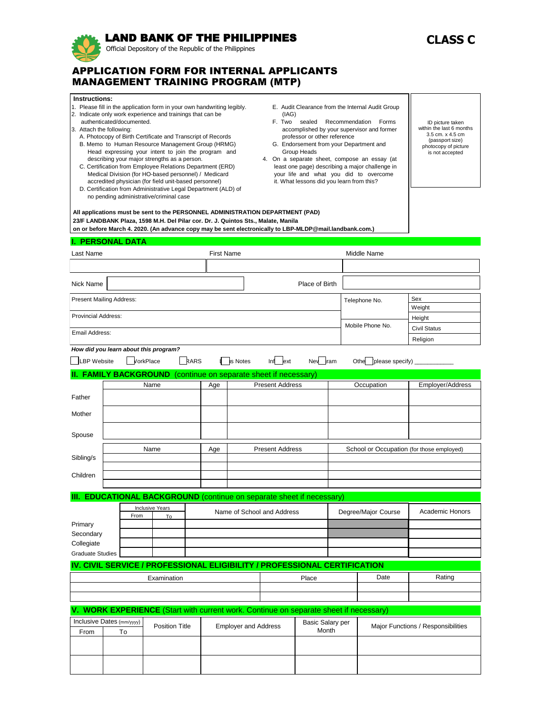# LAND BANK OF THE PHILIPPINES

Official Depository of the Republic of the Philippines

# **CLASS C**

## APPLICATION FORM FOR INTERNAL APPLICANTS MANAGEMENT TRAINING PROGRAM (MTP)

 **Instructions:**

- 1. Please fill in the application form in your own handwriting legibly.
- 2. Indicate only work experience and trainings that can be
- authenticated/documented.
- 3. Attach the following:
	- A. Photocopy of Birth Certificate and Transcript of Records
	- B. Memo to Human Resource Management Group (HRMG) Head expressing your intent to join the program and describing your major strengths as a person.
	- C. Certification from Employee Relations Department (ERD) Medical Division (for HO-based personnel) / Medicard accredited physician (for field unit-based personnel)
	- D. Certification from Administrative Legal Department (ALD) of no pending administrative/criminal case
- E. Audit Clearance from the Internal Audit Group (IAG)
- F. Two sealed Recommendation Forms accomplished by your supervisor and former professor or other reference
- G. Endorsement from your Department and Group Heads
- 4. On a separate sheet, compose an essay (at least one page) describing a major challenge in your life and what you did to overcome it. What lessons did you learn from this?



| Last Name                  | <b>First Name</b> |                | Middle Name      |                     |
|----------------------------|-------------------|----------------|------------------|---------------------|
|                            |                   |                |                  |                     |
| Nick Name                  |                   | Place of Birth |                  |                     |
| Present Mailing Address:   |                   |                | Telephone No.    | Sex<br>Weight       |
| <b>Provincial Address:</b> |                   |                |                  | Height              |
| Email Address:             |                   |                | Mobile Phone No. | <b>Civil Status</b> |
|                            |                   |                |                  | Religion            |

\_ILBP Website **\_\_\_VorkPlace** \_\_\_RARS L\_\_Is Notes Inf\_\_\_lext Nev\_\_\_Jram Othe\_\_\_[please specify)

#### **FAMILY BACKGROUND** (continue on separate sheet if necessary)

 **All applications must be sent to the PERSONNEL ADMINISTRATION DEPARTMENT (PAD)**

 **23/F LANDBANK Plaza, 1598 M.H. Del Pilar cor. Dr. J. Quintos Sts., Malate, Manila** 

|           | Name | Age | <b>Present Address</b> | Occupation                                | Employer/Address |
|-----------|------|-----|------------------------|-------------------------------------------|------------------|
| Father    |      |     |                        |                                           |                  |
| Mother    |      |     |                        |                                           |                  |
| Spouse    |      |     |                        |                                           |                  |
|           | Name | Age | <b>Present Address</b> | School or Occupation (for those employed) |                  |
| Sibling/s |      |     |                        |                                           |                  |
|           |      |     |                        |                                           |                  |
| Children  |      |     |                        |                                           |                  |
|           |      |     |                        |                                           |                  |

#### **III. EDUCATIONAL BACKGROUND** (continue on separate sheet if necessary)

|                  |      | <b>Inclusive Years</b> | Name of School and Address |                     | <b>Academic Honors</b> |  |
|------------------|------|------------------------|----------------------------|---------------------|------------------------|--|
|                  | From | To                     |                            | Degree/Major Course |                        |  |
| Primary          |      |                        |                            |                     |                        |  |
| Secondary        |      |                        |                            |                     |                        |  |
| Collegiate       |      |                        |                            |                     |                        |  |
| Graduate Studies |      |                        |                            |                     |                        |  |

### **IV. CIVIL SERVICE / PROFESSIONAL ELIGIBILITY / PROFESSIONAL CERTIFICATION**

| Examınation<br>–∧d⊑ | <b>Place</b> | Date | Rating |
|---------------------|--------------|------|--------|
|                     |              |      |        |
|                     |              |      |        |

## **V. WORK EXPERIENCE** (Start with current work. Continue on separate sheet if necessary)

| <b>From</b> | $\mid$ Inclusive Dates (mm/yyyy)<br>To | <b>Position Title</b> | <b>Employer and Address</b> | <b>Basic Salary per</b><br>Month | Major Functions / Responsibilities |
|-------------|----------------------------------------|-----------------------|-----------------------------|----------------------------------|------------------------------------|
|             |                                        |                       |                             |                                  |                                    |
|             |                                        |                       |                             |                                  |                                    |
|             |                                        |                       |                             |                                  |                                    |
|             |                                        |                       |                             |                                  |                                    |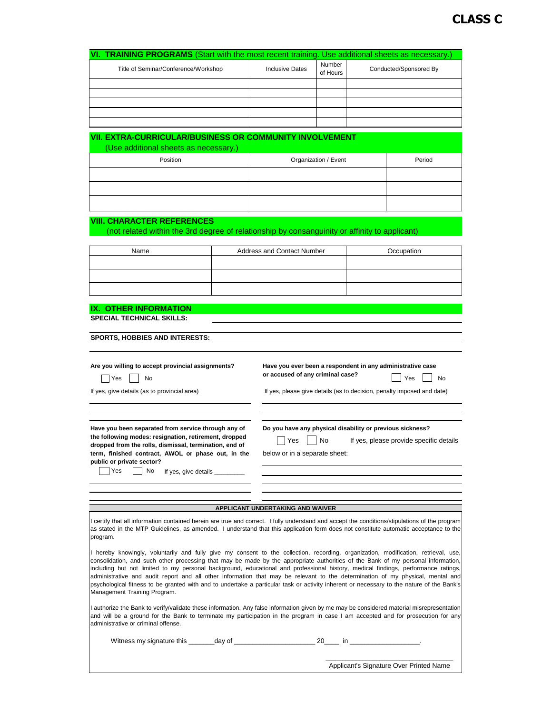| <b>TRAINING PROGRAMS</b> (Start with the most recent training.<br>VI.                                                                                                                                                                                                                                                                                                                                                                                                                                                                                                                                                                                                                                                       |                      |                                                                                                |                      |  | Use additional sheets as necessary.)    |
|-----------------------------------------------------------------------------------------------------------------------------------------------------------------------------------------------------------------------------------------------------------------------------------------------------------------------------------------------------------------------------------------------------------------------------------------------------------------------------------------------------------------------------------------------------------------------------------------------------------------------------------------------------------------------------------------------------------------------------|----------------------|------------------------------------------------------------------------------------------------|----------------------|--|-----------------------------------------|
| Title of Seminar/Conference/Workshop                                                                                                                                                                                                                                                                                                                                                                                                                                                                                                                                                                                                                                                                                        |                      | <b>Inclusive Dates</b>                                                                         | Number<br>of Hours   |  | Conducted/Sponsored By                  |
|                                                                                                                                                                                                                                                                                                                                                                                                                                                                                                                                                                                                                                                                                                                             |                      |                                                                                                |                      |  |                                         |
|                                                                                                                                                                                                                                                                                                                                                                                                                                                                                                                                                                                                                                                                                                                             |                      |                                                                                                |                      |  |                                         |
|                                                                                                                                                                                                                                                                                                                                                                                                                                                                                                                                                                                                                                                                                                                             |                      |                                                                                                |                      |  |                                         |
|                                                                                                                                                                                                                                                                                                                                                                                                                                                                                                                                                                                                                                                                                                                             |                      |                                                                                                |                      |  |                                         |
| <b>VII. EXTRA-CURRICULAR/BUSINESS OR COMMUNITY INVOLVEMENT</b><br>(Use additional sheets as necessary.)                                                                                                                                                                                                                                                                                                                                                                                                                                                                                                                                                                                                                     |                      |                                                                                                |                      |  |                                         |
| Position                                                                                                                                                                                                                                                                                                                                                                                                                                                                                                                                                                                                                                                                                                                    |                      |                                                                                                | Organization / Event |  | Period                                  |
|                                                                                                                                                                                                                                                                                                                                                                                                                                                                                                                                                                                                                                                                                                                             |                      |                                                                                                |                      |  |                                         |
|                                                                                                                                                                                                                                                                                                                                                                                                                                                                                                                                                                                                                                                                                                                             |                      |                                                                                                |                      |  |                                         |
|                                                                                                                                                                                                                                                                                                                                                                                                                                                                                                                                                                                                                                                                                                                             |                      |                                                                                                |                      |  |                                         |
| <b>VIII. CHARACTER REFERENCES</b>                                                                                                                                                                                                                                                                                                                                                                                                                                                                                                                                                                                                                                                                                           |                      |                                                                                                |                      |  |                                         |
| (not related within the 3rd degree of relationship by consanguinity or affinity to applicant)                                                                                                                                                                                                                                                                                                                                                                                                                                                                                                                                                                                                                               |                      |                                                                                                |                      |  |                                         |
|                                                                                                                                                                                                                                                                                                                                                                                                                                                                                                                                                                                                                                                                                                                             |                      |                                                                                                |                      |  |                                         |
| Name                                                                                                                                                                                                                                                                                                                                                                                                                                                                                                                                                                                                                                                                                                                        |                      | <b>Address and Contact Number</b>                                                              |                      |  | Occupation                              |
|                                                                                                                                                                                                                                                                                                                                                                                                                                                                                                                                                                                                                                                                                                                             |                      |                                                                                                |                      |  |                                         |
|                                                                                                                                                                                                                                                                                                                                                                                                                                                                                                                                                                                                                                                                                                                             |                      |                                                                                                |                      |  |                                         |
|                                                                                                                                                                                                                                                                                                                                                                                                                                                                                                                                                                                                                                                                                                                             |                      |                                                                                                |                      |  |                                         |
| <b>IX. OTHER INFORMATION</b>                                                                                                                                                                                                                                                                                                                                                                                                                                                                                                                                                                                                                                                                                                |                      |                                                                                                |                      |  |                                         |
| <b>SPECIAL TECHNICAL SKILLS:</b>                                                                                                                                                                                                                                                                                                                                                                                                                                                                                                                                                                                                                                                                                            |                      |                                                                                                |                      |  |                                         |
| <b>SPORTS, HOBBIES AND INTERESTS:</b>                                                                                                                                                                                                                                                                                                                                                                                                                                                                                                                                                                                                                                                                                       |                      |                                                                                                |                      |  |                                         |
|                                                                                                                                                                                                                                                                                                                                                                                                                                                                                                                                                                                                                                                                                                                             |                      |                                                                                                |                      |  |                                         |
| Are you willing to accept provincial assignments?<br>No                                                                                                                                                                                                                                                                                                                                                                                                                                                                                                                                                                                                                                                                     |                      | Have you ever been a respondent in any administrative case<br>or accused of any criminal case? |                      |  | Yes                                     |
| Yes<br>If yes, give details (as to provincial area)                                                                                                                                                                                                                                                                                                                                                                                                                                                                                                                                                                                                                                                                         |                      | No<br>If yes, please give details (as to decision, penalty imposed and date)                   |                      |  |                                         |
|                                                                                                                                                                                                                                                                                                                                                                                                                                                                                                                                                                                                                                                                                                                             |                      |                                                                                                |                      |  |                                         |
|                                                                                                                                                                                                                                                                                                                                                                                                                                                                                                                                                                                                                                                                                                                             |                      |                                                                                                |                      |  |                                         |
| Have you been separated from service through any of                                                                                                                                                                                                                                                                                                                                                                                                                                                                                                                                                                                                                                                                         |                      | Do you have any physical disability or previous sickness?                                      |                      |  |                                         |
| the following modes: resignation, retirement, dropped<br>dropped from the rolls, dismissal, termination, end of                                                                                                                                                                                                                                                                                                                                                                                                                                                                                                                                                                                                             |                      | Yes                                                                                            | No                   |  | If yes, please provide specific details |
| term, finished contract, AWOL or phase out, in the                                                                                                                                                                                                                                                                                                                                                                                                                                                                                                                                                                                                                                                                          |                      | below or in a separate sheet:                                                                  |                      |  |                                         |
| public or private sector?<br>Yes<br>No<br>If yes, give details _                                                                                                                                                                                                                                                                                                                                                                                                                                                                                                                                                                                                                                                            |                      |                                                                                                |                      |  |                                         |
|                                                                                                                                                                                                                                                                                                                                                                                                                                                                                                                                                                                                                                                                                                                             |                      |                                                                                                |                      |  |                                         |
|                                                                                                                                                                                                                                                                                                                                                                                                                                                                                                                                                                                                                                                                                                                             |                      |                                                                                                |                      |  |                                         |
|                                                                                                                                                                                                                                                                                                                                                                                                                                                                                                                                                                                                                                                                                                                             |                      | APPLICANT UNDERTAKING AND WAIVER                                                               |                      |  |                                         |
| I certify that all information contained herein are true and correct. I fully understand and accept the conditions/stipulations of the program<br>as stated in the MTP Guidelines, as amended. I understand that this application form does not constitute automatic acceptance to the                                                                                                                                                                                                                                                                                                                                                                                                                                      |                      |                                                                                                |                      |  |                                         |
| program.                                                                                                                                                                                                                                                                                                                                                                                                                                                                                                                                                                                                                                                                                                                    |                      |                                                                                                |                      |  |                                         |
| I hereby knowingly, voluntarily and fully give my consent to the collection, recording, organization, modification, retrieval, use,<br>consolidation, and such other processing that may be made by the appropriate authorities of the Bank of my personal information,<br>including but not limited to my personal background, educational and professional history, medical findings, performance ratings,<br>administrative and audit report and all other information that may be relevant to the determination of my physical, mental and<br>psychological fitness to be granted with and to undertake a particular task or activity inherent or necessary to the nature of the Bank's<br>Management Training Program. |                      |                                                                                                |                      |  |                                         |
| I authorize the Bank to verify/validate these information. Any false information given by me may be considered material misrepresentation<br>and will be a ground for the Bank to terminate my participation in the program in case I am accepted and for prosecution for any<br>administrative or criminal offense.                                                                                                                                                                                                                                                                                                                                                                                                        |                      |                                                                                                |                      |  |                                         |
| Witness my signature this                                                                                                                                                                                                                                                                                                                                                                                                                                                                                                                                                                                                                                                                                                   | _day of <sub>.</sub> |                                                                                                | 20<br>$\mathsf{in}$  |  |                                         |
|                                                                                                                                                                                                                                                                                                                                                                                                                                                                                                                                                                                                                                                                                                                             |                      |                                                                                                |                      |  | Applicant's Signature Over Printed Name |